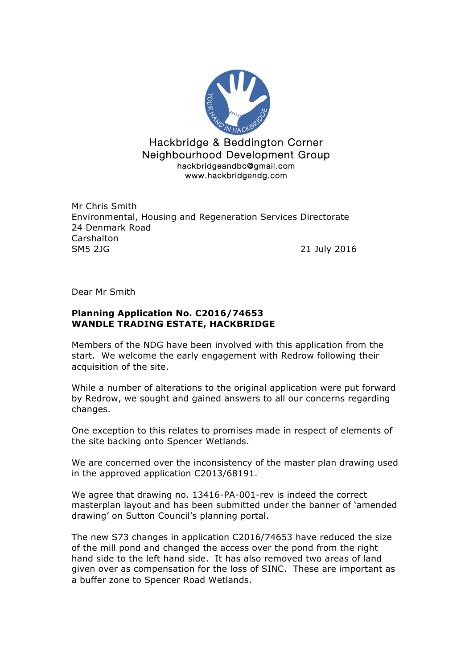

 Hackbridge & Beddington Corner Neighbourhood Development Group hackbridgeandbc@gmail.com www.hackbridgendg.com

Mr Chris Smith Environmental, Housing and Regeneration Services Directorate 24 Denmark Road Carshalton SM5 2JG 21 July 2016

Dear Mr Smith

## **Planning Application No. C2016/74653 WANDLE TRADING ESTATE, HACKBRIDGE**

Members of the NDG have been involved with this application from the start. We welcome the early engagement with Redrow following their acquisition of the site.

While a number of alterations to the original application were put forward by Redrow, we sought and gained answers to all our concerns regarding changes.

One exception to this relates to promises made in respect of elements of the site backing onto Spencer Wetlands.

We are concerned over the inconsistency of the master plan drawing used in the approved application C2013/68191.

We agree that drawing no. 13416-PA-001-rev is indeed the correct masterplan layout and has been submitted under the banner of 'amended drawing' on Sutton Council's planning portal.

The new S73 changes in application C2016/74653 have reduced the size of the mill pond and changed the access over the pond from the right hand side to the left hand side. It has also removed two areas of land given over as compensation for the loss of SINC. These are important as a buffer zone to Spencer Road Wetlands.